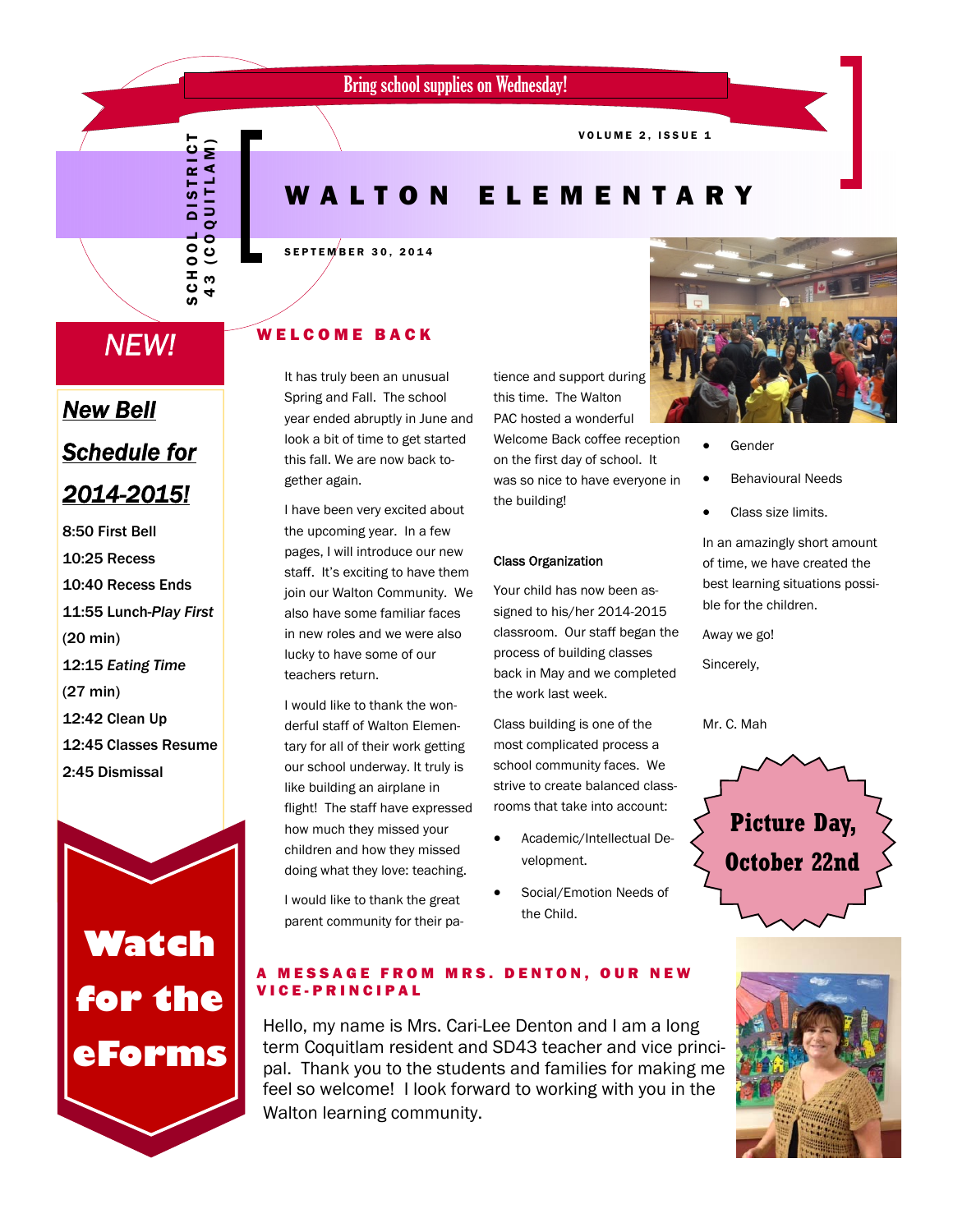VOLUME 2, ISSUE 1

# WALTON ELEMENTARY

#### SEPTEMBER 30, 2014

# *NEW!*

SCHOOL DISTRICT 43 (COQUITLAM)

**SCHOO**  $43$ 

DISTRICT **IN A 11 IO O O DI** 

# *New Bell Schedule for 2014-2015!*

8:50 First Bell 10:25 Recess 10:40 Recess Ends 11:55 Lunch-*Play First*  (20 min) 12:15 *Eating Time* (27 min) 12:42 Clean Up 12:45 Classes Resume 2:45 Dismissal

# **Watch for the eForms**

# WELCOME BACK

It has truly been an unusual Spring and Fall. The school year ended abruptly in June and look a bit of time to get started this fall. We are now back together again.

I have been very excited about the upcoming year. In a few pages, I will introduce our new staff. It's exciting to have them join our Walton Community. We also have some familiar faces in new roles and we were also lucky to have some of our teachers return.

I would like to thank the wonderful staff of Walton Elementary for all of their work getting our school underway. It truly is like building an airplane in flight! The staff have expressed how much they missed your children and how they missed doing what they love: teaching.

I would like to thank the great parent community for their patience and support during this time. The Walton PAC hosted a wonderful

Welcome Back coffee reception on the first day of school. It was so nice to have everyone in the building!

#### Class Organization

Your child has now been assigned to his/her 2014-2015 classroom. Our staff began the process of building classes back in May and we completed the work last week.

Class building is one of the most complicated process a school community faces. We strive to create balanced classrooms that take into account:

- Academic/Intellectual Development.
- Social/Emotion Needs of the Child.



- Gender
- Behavioural Needs
- Class size limits.

In an amazingly short amount of time, we have created the best learning situations possible for the children.

Away we go!

Sincerely,

Mr. C. Mah



#### **MESSAGE FROM MRS. DENTON, OUR NEW** VICE-PRINCIPAL

Hello, my name is Mrs. Cari-Lee Denton and I am a long term Coquitlam resident and SD43 teacher and vice principal. Thank you to the students and families for making me feel so welcome! I look forward to working with you in the Walton learning community.

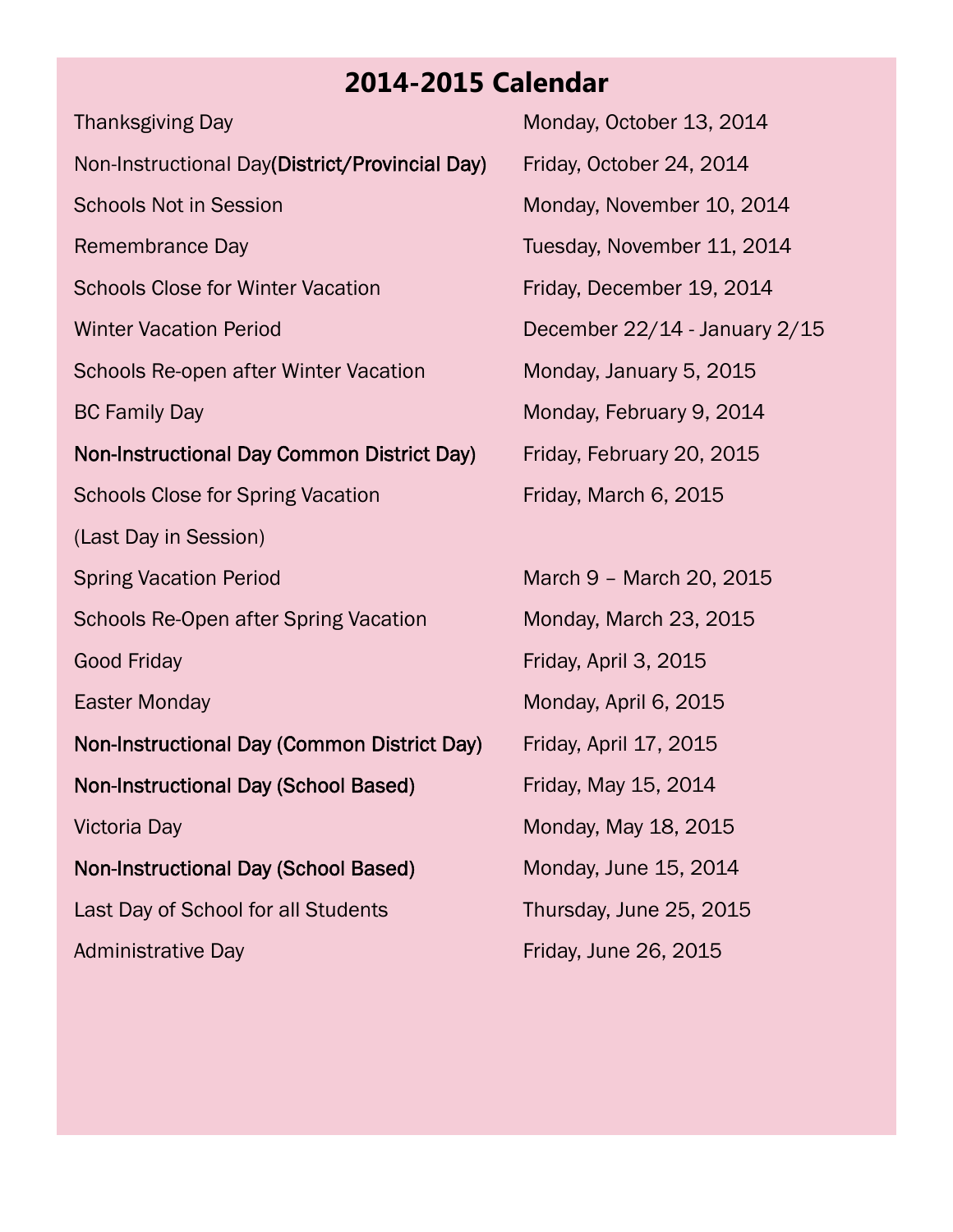# **2014-2015 Calendar**

Thanksgiving Day Monday, October 13, 2014 Non-Instructional Day(District/Provincial Day) Friday, October 24, 2014 Schools Not in Session Monday, November 10, 2014 Remembrance Day **Tuesday, November 11, 2014** Schools Close for Winter Vacation Friday, December 19, 2014 Winter Vacation Period December 22/14 - January 2/15 Schools Re-open after Winter Vacation Monday, January 5, 2015 BC Family Day Monday, February 9, 2014 Non-Instructional Day Common District Day) Friday, February 20, 2015 Schools Close for Spring Vacation Friday, March 6, 2015 (Last Day in Session) Spring Vacation Period March 9 – March 20, 2015 Schools Re-Open after Spring Vacation Monday, March 23, 2015 Good Friday **Friday Friday**, April 3, 2015 Easter Monday **Monday** Monday, April 6, 2015 Non-Instructional Day (Common District Day) Friday, April 17, 2015 Non-Instructional Day (School Based) Friday, May 15, 2014 Victoria Day **Monday, May 18, 2015** Non-Instructional Day (School Based) Monday, June 15, 2014 Last Day of School for all Students Thursday, June 25, 2015 Administrative Day **Friday, June 26, 2015**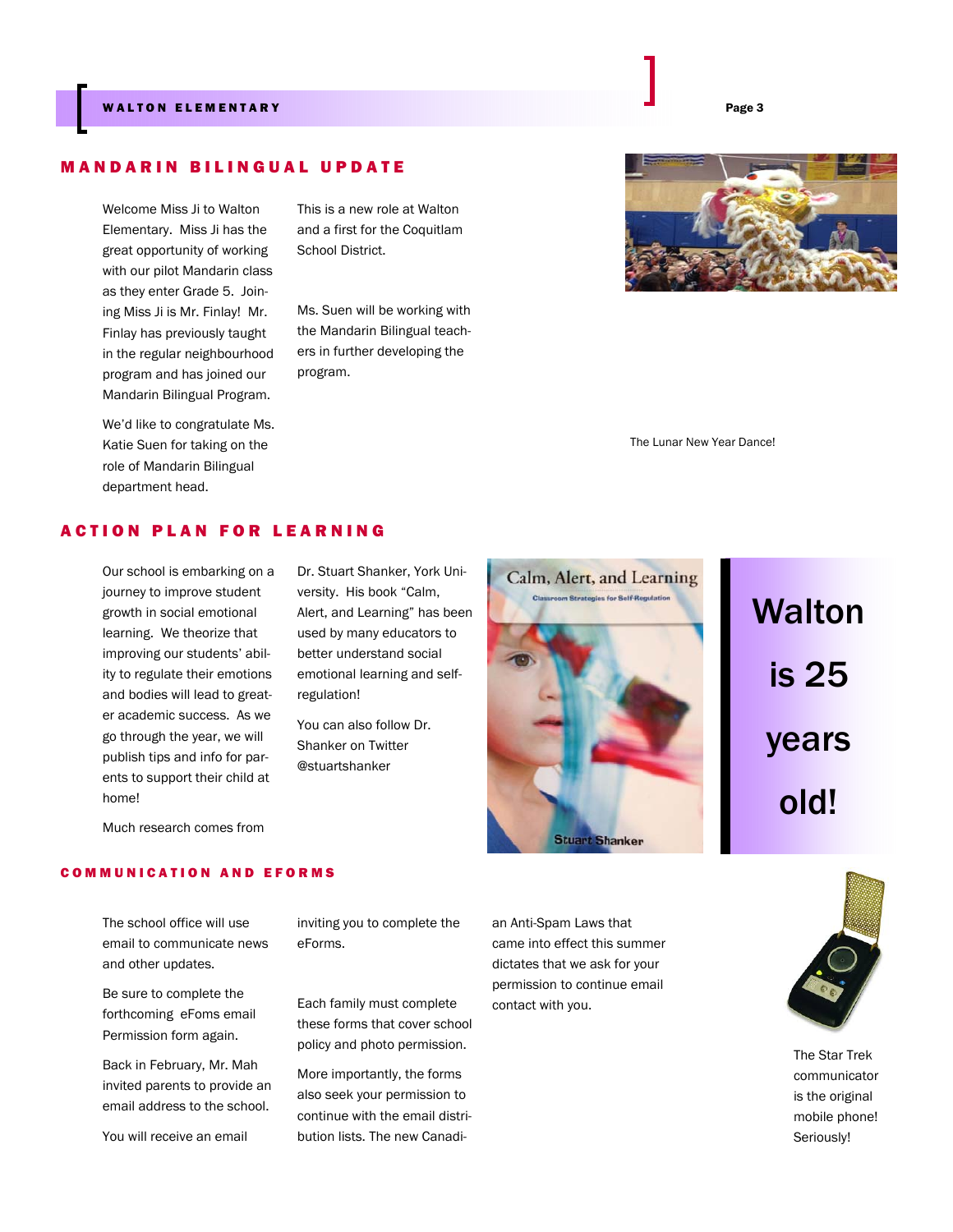#### WALTON ELEMENTARY Page 3

## MANDARIN BILINGUAL UPDATE

Welcome Miss Ji to Walton Elementary. Miss Ji has the great opportunity of working with our pilot Mandarin class as they enter Grade 5. Joining Miss Ji is Mr. Finlay! Mr. Finlay has previously taught in the regular neighbourhood program and has joined our Mandarin Bilingual Program.

We'd like to congratulate Ms. Katie Suen for taking on the role of Mandarin Bilingual department head.

This is a new role at Walton and a first for the Coquitlam School District.

Ms. Suen will be working with the Mandarin Bilingual teachers in further developing the program.



The Lunar New Year Dance!

## ACTION PLAN FOR LEARNING

Our school is embarking on a journey to improve student growth in social emotional learning. We theorize that improving our students' ability to regulate their emotions and bodies will lead to greater academic success. As we go through the year, we will publish tips and info for parents to support their child at home!

Dr. Stuart Shanker, York University. His book "Calm, Alert, and Learning" has been used by many educators to better understand social emotional learning and selfregulation!

You can also follow Dr. Shanker on Twitter @stuartshanker



**Walton** is 25 years old!

Much research comes from

#### COMMUNICATION AND EFORMS

The school office will use email to communicate news and other updates.

Be sure to complete the forthcoming eFoms email Permission form again.

Back in February, Mr. Mah invited parents to provide an email address to the school.

You will receive an email

inviting you to complete the eForms.

Each family must complete these forms that cover school policy and photo permission.

More importantly, the forms also seek your permission to continue with the email distribution lists. The new Canadian Anti-Spam Laws that came into effect this summer dictates that we ask for your permission to continue email contact with you.

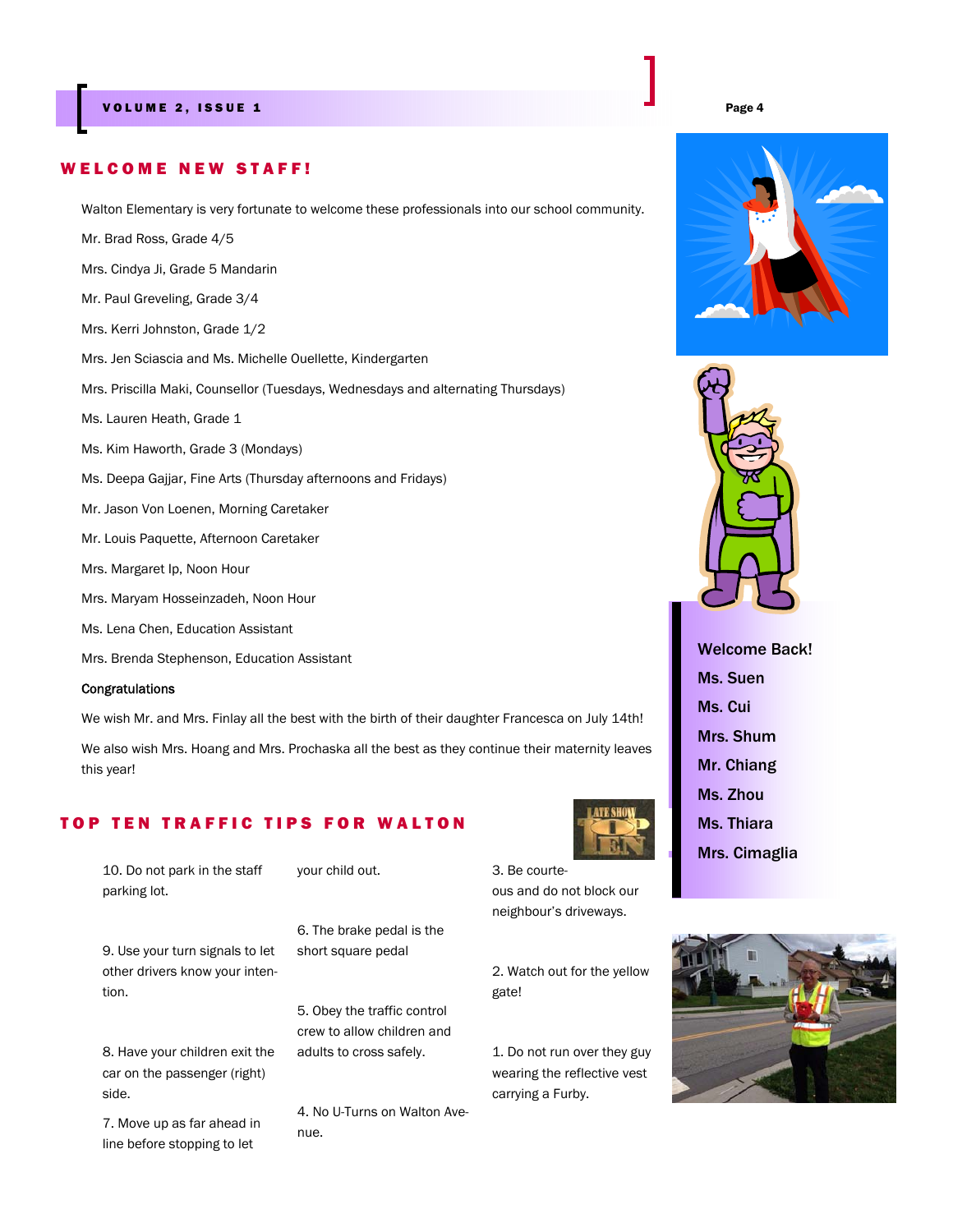#### WELCOME NEW STAFF!

Walton Elementary is very fortunate to welcome these professionals into our school community.

Mr. Brad Ross, Grade 4/5

Mrs. Cindya Ji, Grade 5 Mandarin

Mr. Paul Greveling, Grade 3/4

Mrs. Kerri Johnston, Grade 1/2

Mrs. Jen Sciascia and Ms. Michelle Ouellette, Kindergarten

Mrs. Priscilla Maki, Counsellor (Tuesdays, Wednesdays and alternating Thursdays)

Ms. Lauren Heath, Grade 1

- Ms. Kim Haworth, Grade 3 (Mondays)
- Ms. Deepa Gajjar, Fine Arts (Thursday afternoons and Fridays)
- Mr. Jason Von Loenen, Morning Caretaker
- Mr. Louis Paquette, Afternoon Caretaker
- Mrs. Margaret Ip, Noon Hour
- Mrs. Maryam Hosseinzadeh, Noon Hour
- Ms. Lena Chen, Education Assistant
- Mrs. Brenda Stephenson, Education Assistant

#### Congratulations

We wish Mr. and Mrs. Finlay all the best with the birth of their daughter Francesca on July 14th!

We also wish Mrs. Hoang and Mrs. Prochaska all the best as they continue their maternity leaves this year!

## TOP TEN TRAFFIC TIPS FOR WALTON

10. Do not park in the staff parking lot.

your child out.

9. Use your turn signals to let other drivers know your intention.

8. Have your children exit the car on the passenger (right) side.

7. Move up as far ahead in line before stopping to let

6. The brake pedal is the short square pedal

5. Obey the traffic control crew to allow children and adults to cross safely.

4. No U-Turns on Walton Avenue.

3. Be courteous and do not block our neighbour's driveways.

2. Watch out for the yellow gate!

1. Do not run over they guy wearing the reflective vest carrying a Furby.







Welcome Back! Ms. Suen Ms. Cui Mrs. Shum Mr. Chiang Ms. Zhou Ms. Thiara Mrs. Cimaglia

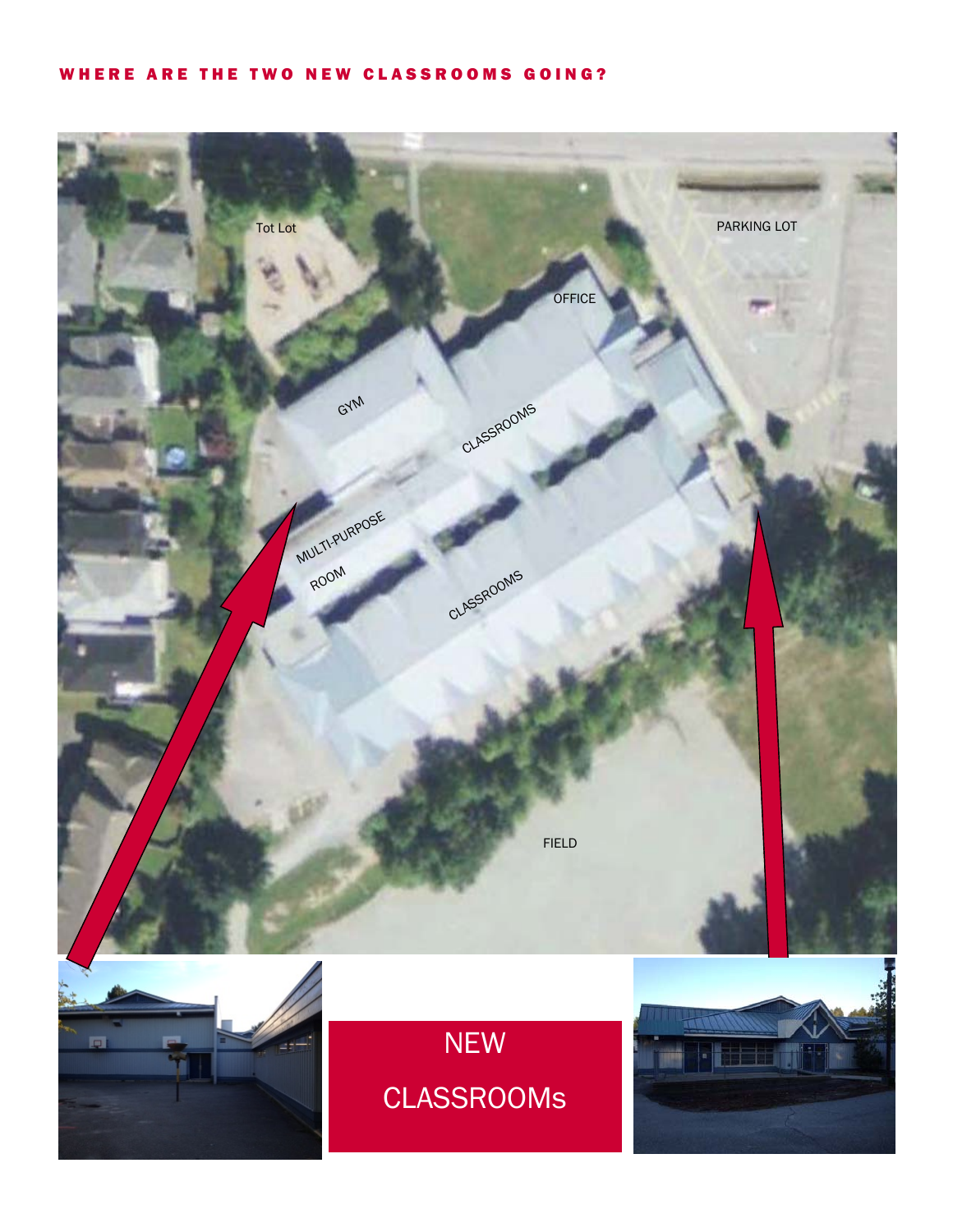## WHERE ARE THE TWO NEW CLASSROOMS GOING?

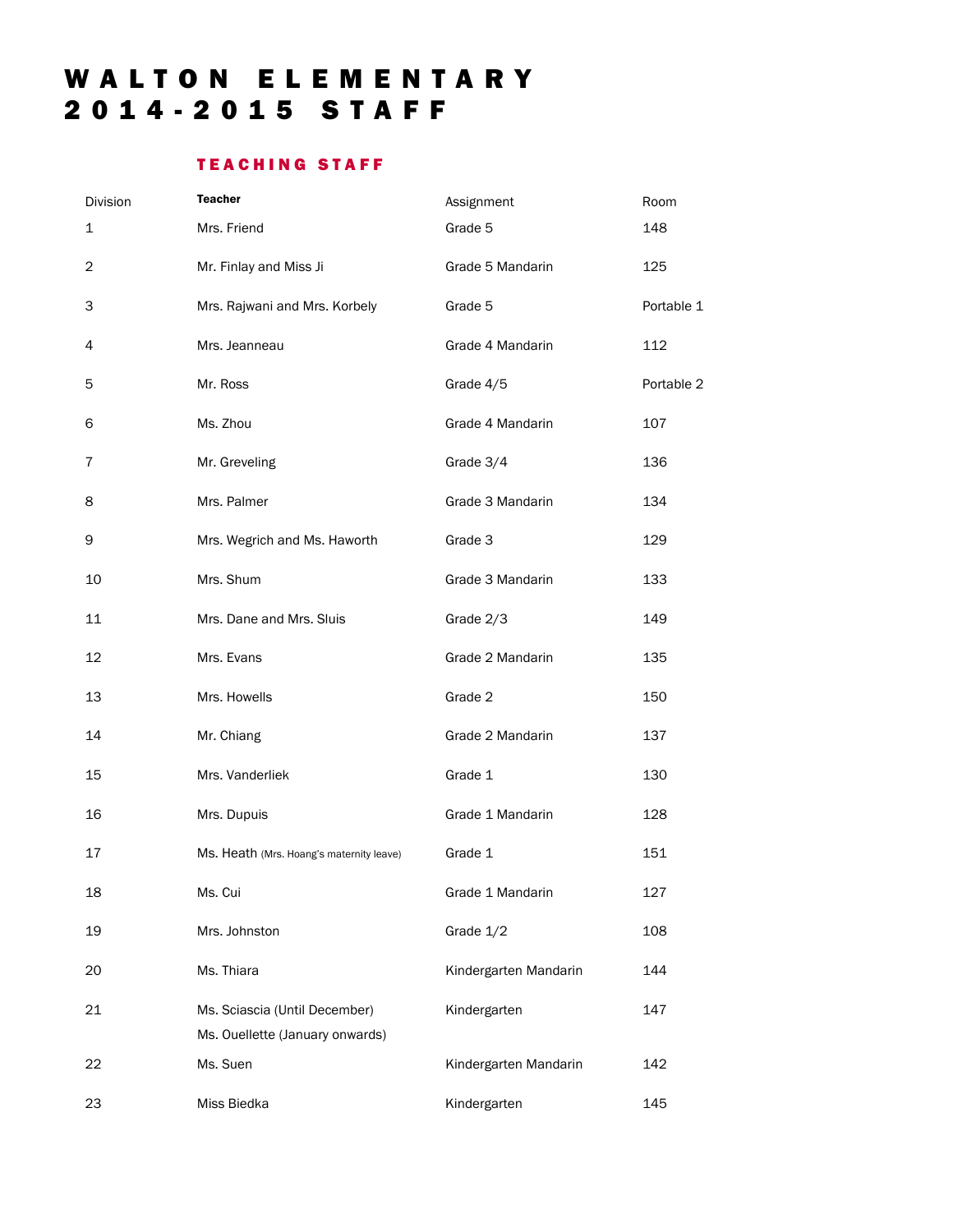# WALTON ELEMENTARY 2014-2015 STAFF

# TEACHING STAFF

| Division       | <b>Teacher</b>                                                   | Assignment            | Room       |
|----------------|------------------------------------------------------------------|-----------------------|------------|
| 1              | Mrs. Friend                                                      | Grade 5               | 148        |
| $\overline{c}$ | Mr. Finlay and Miss Ji                                           | Grade 5 Mandarin      | 125        |
| 3              | Mrs. Rajwani and Mrs. Korbely                                    | Grade 5               | Portable 1 |
| 4              | Mrs. Jeanneau                                                    | Grade 4 Mandarin      | 112        |
| 5              | Mr. Ross                                                         | Grade 4/5             | Portable 2 |
| 6              | Ms. Zhou                                                         | Grade 4 Mandarin      | 107        |
| $\overline{7}$ | Mr. Greveling                                                    | Grade 3/4             | 136        |
| 8              | Mrs. Palmer                                                      | Grade 3 Mandarin      | 134        |
| 9              | Mrs. Wegrich and Ms. Haworth                                     | Grade 3               | 129        |
| 10             | Mrs. Shum                                                        | Grade 3 Mandarin      | 133        |
| 11             | Mrs. Dane and Mrs. Sluis                                         | Grade 2/3             | 149        |
| 12             | Mrs. Evans                                                       | Grade 2 Mandarin      | 135        |
| 13             | Mrs. Howells                                                     | Grade 2               | 150        |
| 14             | Mr. Chiang                                                       | Grade 2 Mandarin      | 137        |
| 15             | Mrs. Vanderliek                                                  | Grade 1               | 130        |
| 16             | Mrs. Dupuis                                                      | Grade 1 Mandarin      | 128        |
| 17             | Ms. Heath (Mrs. Hoang's maternity leave)                         | Grade 1               | 151        |
| 18             | Ms. Cui                                                          | Grade 1 Mandarin      | 127        |
| 19             | Mrs. Johnston                                                    | Grade 1/2             | 108        |
| 20             | Ms. Thiara                                                       | Kindergarten Mandarin | 144        |
| 21             | Ms. Sciascia (Until December)<br>Ms. Ouellette (January onwards) | Kindergarten          | 147        |
| 22             | Ms. Suen                                                         | Kindergarten Mandarin | 142        |
| 23             | Miss Biedka                                                      | Kindergarten          | 145        |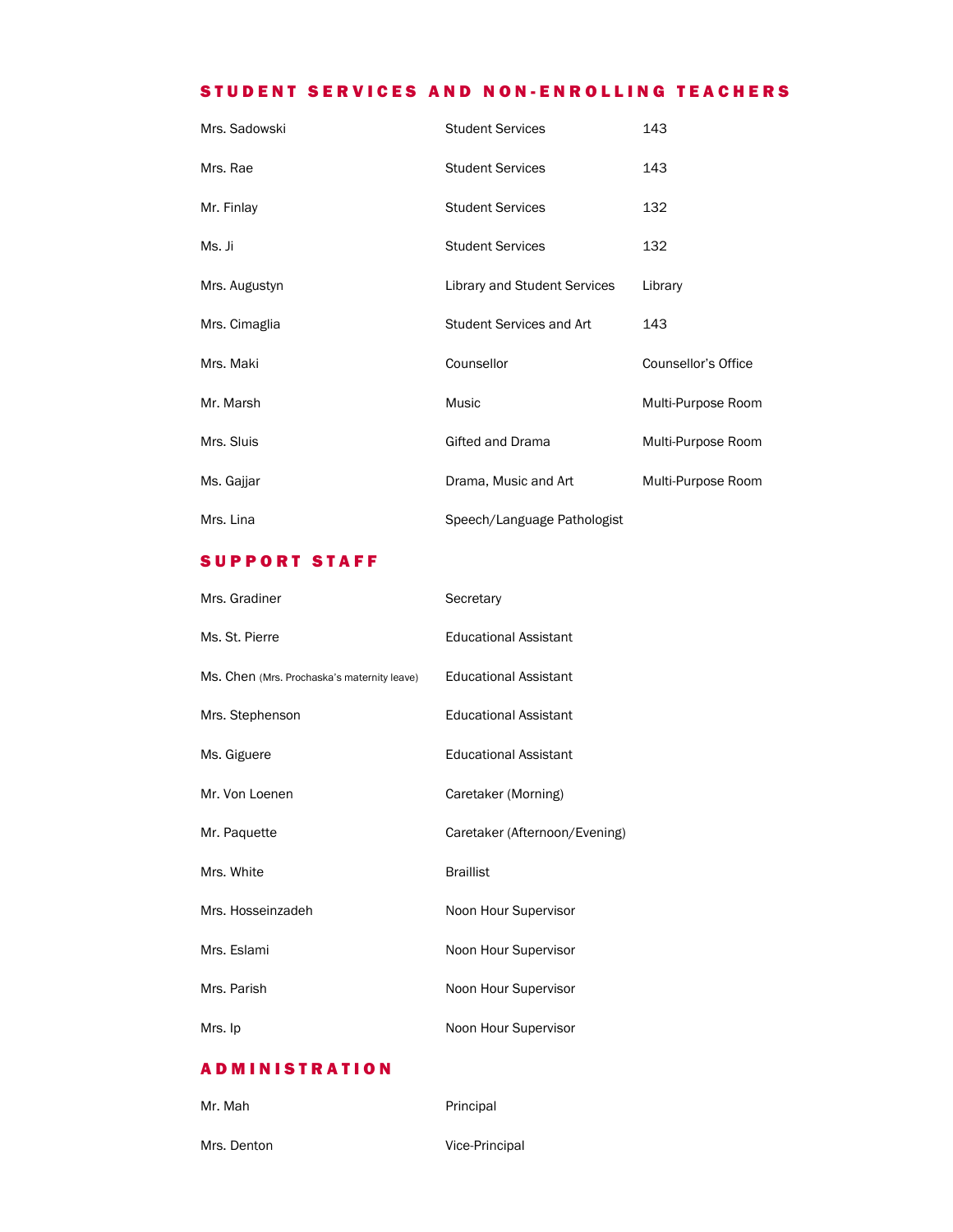## STUDENT SERVICES AND NON-ENROLLING TEACHERS

| Mrs. Sadowski | <b>Student Services</b>         | 143                 |
|---------------|---------------------------------|---------------------|
| Mrs. Rae      | <b>Student Services</b>         | 143                 |
| Mr. Finlay    | <b>Student Services</b>         | 132                 |
| Ms. Ji        | <b>Student Services</b>         | 132                 |
| Mrs. Augustyn | Library and Student Services    | Library             |
| Mrs. Cimaglia | <b>Student Services and Art</b> | 143                 |
| Mrs. Maki     | Counsellor                      | Counsellor's Office |
| Mr. Marsh     | Music                           | Multi-Purpose Room  |
| Mrs. Sluis    | Gifted and Drama                | Multi-Purpose Room  |
| Ms. Gajjar    | Drama, Music and Art            | Multi-Purpose Room  |
| Mrs. Lina     | Speech/Language Pathologist     |                     |

## SUPPORT STAFF

| Mrs. Gradiner                               | Secretary                     |
|---------------------------------------------|-------------------------------|
| Ms. St. Pierre                              | <b>Educational Assistant</b>  |
| Ms. Chen (Mrs. Prochaska's maternity leave) | <b>Educational Assistant</b>  |
| Mrs. Stephenson                             | <b>Educational Assistant</b>  |
| Ms. Giguere                                 | <b>Educational Assistant</b>  |
| Mr. Von Loenen                              | Caretaker (Morning)           |
| Mr. Paquette                                | Caretaker (Afternoon/Evening) |
| Mrs. White                                  | <b>Braillist</b>              |
| Mrs. Hosseinzadeh                           | Noon Hour Supervisor          |
| Mrs. Eslami                                 | Noon Hour Supervisor          |
| Mrs. Parish                                 | Noon Hour Supervisor          |
| Mrs. Ip                                     | Noon Hour Supervisor          |

## ADMINISTRATION

| Mr. Mah     | Principal      |
|-------------|----------------|
| Mrs. Denton | Vice-Principal |